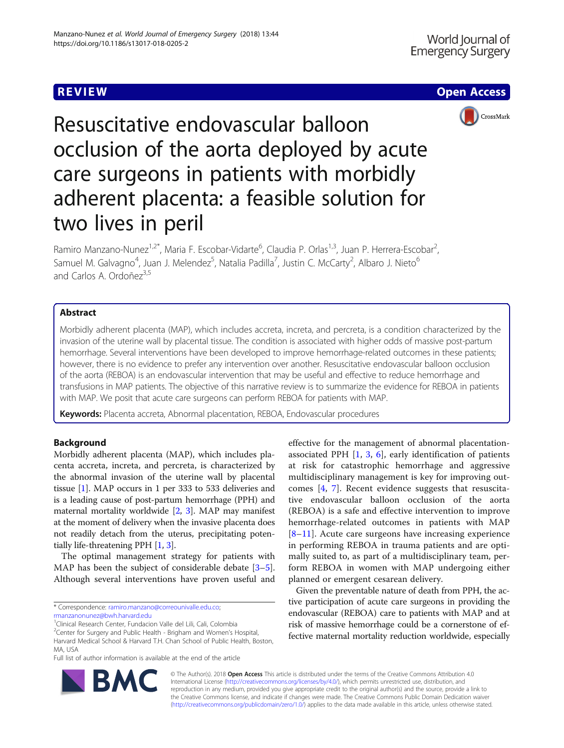**REVIEW ACCESS AND LOCAL CONTRACT CONTRACT OF ACCESS** 



Resuscitative endovascular balloon occlusion of the aorta deployed by acute care surgeons in patients with morbidly adherent placenta: a feasible solution for two lives in peril

Ramiro Manzano-Nunez<sup>1,2\*</sup>, Maria F. Escobar-Vidarte<sup>6</sup>, Claudia P. Orlas<sup>1,3</sup>, Juan P. Herrera-Escobar<sup>2</sup> , Samuel M. Galvagno<sup>4</sup>, Juan J. Melendez<sup>5</sup>, Natalia Padilla<sup>7</sup>, Justin C. McCarty<sup>2</sup>, Albaro J. Nieto<sup>6</sup> and Carlos A. Ordoñez<sup>3,5</sup>

# Abstract

Morbidly adherent placenta (MAP), which includes accreta, increta, and percreta, is a condition characterized by the invasion of the uterine wall by placental tissue. The condition is associated with higher odds of massive post-partum hemorrhage. Several interventions have been developed to improve hemorrhage-related outcomes in these patients; however, there is no evidence to prefer any intervention over another. Resuscitative endovascular balloon occlusion of the aorta (REBOA) is an endovascular intervention that may be useful and effective to reduce hemorrhage and transfusions in MAP patients. The objective of this narrative review is to summarize the evidence for REBOA in patients with MAP. We posit that acute care surgeons can perform REBOA for patients with MAP.

Keywords: Placenta accreta, Abnormal placentation, REBOA, Endovascular procedures

# Background

Morbidly adherent placenta (MAP), which includes placenta accreta, increta, and percreta, is characterized by the abnormal invasion of the uterine wall by placental tissue [\[1](#page-4-0)]. MAP occurs in 1 per 333 to 533 deliveries and is a leading cause of post-partum hemorrhage (PPH) and maternal mortality worldwide [\[2](#page-4-0), [3](#page-4-0)]. MAP may manifest at the moment of delivery when the invasive placenta does not readily detach from the uterus, precipitating potentially life-threatening PPH [\[1](#page-4-0), [3\]](#page-4-0).

The optimal management strategy for patients with MAP has been the subject of considerable debate [\[3](#page-4-0)–[5](#page-5-0)]. Although several interventions have proven useful and

\* Correspondence: [ramiro.manzano@correounivalle.edu.co;](mailto:ramiro.manzano@correounivalle.edu.co) [rmanzanonunez@bwh.harvard.edu](mailto:rmanzanonunez@bwh.harvard.edu)

<sup>1</sup>Clinical Research Center, Fundacion Valle del Lili, Cali, Colombia

Full list of author information is available at the end of the article

effective for the management of abnormal placentationassociated PPH  $[1, 3, 6]$  $[1, 3, 6]$  $[1, 3, 6]$  $[1, 3, 6]$  $[1, 3, 6]$  $[1, 3, 6]$  $[1, 3, 6]$ , early identification of patients at risk for catastrophic hemorrhage and aggressive multidisciplinary management is key for improving outcomes [[4,](#page-5-0) [7](#page-5-0)]. Recent evidence suggests that resuscitative endovascular balloon occlusion of the aorta (REBOA) is a safe and effective intervention to improve hemorrhage-related outcomes in patients with MAP [[8](#page-5-0)–[11\]](#page-5-0). Acute care surgeons have increasing experience in performing REBOA in trauma patients and are optimally suited to, as part of a multidisciplinary team, perform REBOA in women with MAP undergoing either planned or emergent cesarean delivery.

Given the preventable nature of death from PPH, the active participation of acute care surgeons in providing the endovascular (REBOA) care to patients with MAP and at risk of massive hemorrhage could be a cornerstone of effective maternal mortality reduction worldwide, especially



© The Author(s). 2018 Open Access This article is distributed under the terms of the Creative Commons Attribution 4.0 International License [\(http://creativecommons.org/licenses/by/4.0/](http://creativecommons.org/licenses/by/4.0/)), which permits unrestricted use, distribution, and reproduction in any medium, provided you give appropriate credit to the original author(s) and the source, provide a link to the Creative Commons license, and indicate if changes were made. The Creative Commons Public Domain Dedication waiver [\(http://creativecommons.org/publicdomain/zero/1.0/](http://creativecommons.org/publicdomain/zero/1.0/)) applies to the data made available in this article, unless otherwise stated.

<sup>&</sup>lt;sup>2</sup> Center for Surgery and Public Health - Brigham and Women's Hospital, Harvard Medical School & Harvard T.H. Chan School of Public Health, Boston, MA, USA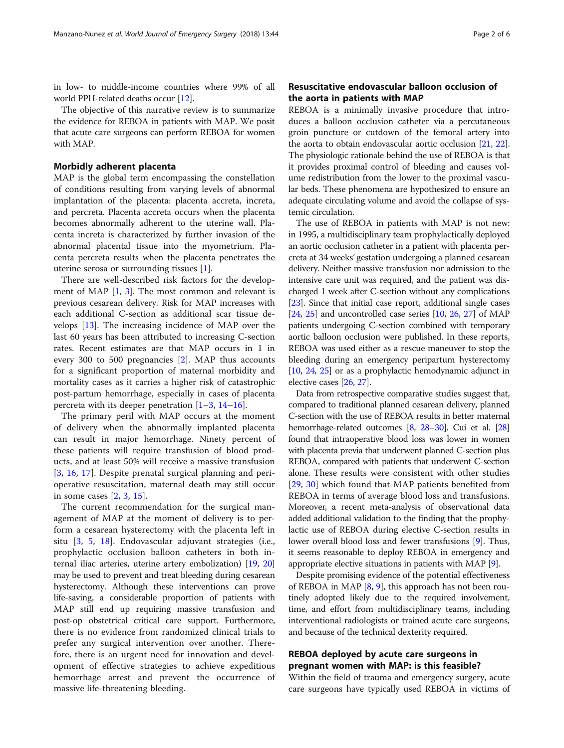in low- to middle-income countries where 99% of all world PPH-related deaths occur [[12](#page-5-0)].

The objective of this narrative review is to summarize the evidence for REBOA in patients with MAP. We posit that acute care surgeons can perform REBOA for women with MAP.

## Morbidly adherent placenta

MAP is the global term encompassing the constellation of conditions resulting from varying levels of abnormal implantation of the placenta: placenta accreta, increta, and percreta. Placenta accreta occurs when the placenta becomes abnormally adherent to the uterine wall. Placenta increta is characterized by further invasion of the abnormal placental tissue into the myometrium. Placenta percreta results when the placenta penetrates the uterine serosa or surrounding tissues [\[1](#page-4-0)].

There are well-described risk factors for the development of MAP [\[1](#page-4-0), [3](#page-4-0)]. The most common and relevant is previous cesarean delivery. Risk for MAP increases with each additional C-section as additional scar tissue develops [[13](#page-5-0)]. The increasing incidence of MAP over the last 60 years has been attributed to increasing C-section rates. Recent estimates are that MAP occurs in 1 in every 300 to 500 pregnancies [[2\]](#page-4-0). MAP thus accounts for a significant proportion of maternal morbidity and mortality cases as it carries a higher risk of catastrophic post-partum hemorrhage, especially in cases of placenta percreta with its deeper penetration  $[1-3, 14-16]$  $[1-3, 14-16]$  $[1-3, 14-16]$  $[1-3, 14-16]$  $[1-3, 14-16]$  $[1-3, 14-16]$  $[1-3, 14-16]$  $[1-3, 14-16]$  $[1-3, 14-16]$ .

The primary peril with MAP occurs at the moment of delivery when the abnormally implanted placenta can result in major hemorrhage. Ninety percent of these patients will require transfusion of blood products, and at least 50% will receive a massive transfusion [[3,](#page-4-0) [16,](#page-5-0) [17](#page-5-0)]. Despite prenatal surgical planning and perioperative resuscitation, maternal death may still occur in some cases [\[2](#page-4-0), [3](#page-4-0), [15\]](#page-5-0).

The current recommendation for the surgical management of MAP at the moment of delivery is to perform a cesarean hysterectomy with the placenta left in situ [[3,](#page-4-0) [5](#page-5-0), [18](#page-5-0)]. Endovascular adjuvant strategies (i.e., prophylactic occlusion balloon catheters in both internal iliac arteries, uterine artery embolization) [\[19,](#page-5-0) [20](#page-5-0)] may be used to prevent and treat bleeding during cesarean hysterectomy. Although these interventions can prove life-saving, a considerable proportion of patients with MAP still end up requiring massive transfusion and post-op obstetrical critical care support. Furthermore, there is no evidence from randomized clinical trials to prefer any surgical intervention over another. Therefore, there is an urgent need for innovation and development of effective strategies to achieve expeditious hemorrhage arrest and prevent the occurrence of massive life-threatening bleeding.

## Resuscitative endovascular balloon occlusion of the aorta in patients with MAP

REBOA is a minimally invasive procedure that introduces a balloon occlusion catheter via a percutaneous groin puncture or cutdown of the femoral artery into the aorta to obtain endovascular aortic occlusion [[21,](#page-5-0) [22](#page-5-0)]. The physiologic rationale behind the use of REBOA is that it provides proximal control of bleeding and causes volume redistribution from the lower to the proximal vascular beds. These phenomena are hypothesized to ensure an adequate circulating volume and avoid the collapse of systemic circulation.

The use of REBOA in patients with MAP is not new: in 1995, a multidisciplinary team prophylactically deployed an aortic occlusion catheter in a patient with placenta percreta at 34 weeks' gestation undergoing a planned cesarean delivery. Neither massive transfusion nor admission to the intensive care unit was required, and the patient was discharged 1 week after C-section without any complications [[23](#page-5-0)]. Since that initial case report, additional single cases  $[24, 25]$  $[24, 25]$  $[24, 25]$  $[24, 25]$  $[24, 25]$  and uncontrolled case series  $[10, 26, 27]$  $[10, 26, 27]$  $[10, 26, 27]$  $[10, 26, 27]$  $[10, 26, 27]$  $[10, 26, 27]$  $[10, 26, 27]$  of MAP patients undergoing C-section combined with temporary aortic balloon occlusion were published. In these reports, REBOA was used either as a rescue maneuver to stop the bleeding during an emergency peripartum hysterectomy [[10](#page-5-0), [24](#page-5-0), [25\]](#page-5-0) or as a prophylactic hemodynamic adjunct in elective cases [\[26,](#page-5-0) [27](#page-5-0)].

Data from retrospective comparative studies suggest that, compared to traditional planned cesarean delivery, planned C-section with the use of REBOA results in better maternal hemorrhage-related outcomes [[8](#page-5-0), [28](#page-5-0)-[30\]](#page-5-0). Cui et al. [\[28](#page-5-0)] found that intraoperative blood loss was lower in women with placenta previa that underwent planned C-section plus REBOA, compared with patients that underwent C-section alone. These results were consistent with other studies [[29,](#page-5-0) [30](#page-5-0)] which found that MAP patients benefited from REBOA in terms of average blood loss and transfusions. Moreover, a recent meta-analysis of observational data added additional validation to the finding that the prophylactic use of REBOA during elective C-section results in lower overall blood loss and fewer transfusions [\[9](#page-5-0)]. Thus, it seems reasonable to deploy REBOA in emergency and appropriate elective situations in patients with MAP [[9\]](#page-5-0).

Despite promising evidence of the potential effectiveness of REBOA in MAP [[8](#page-5-0), [9](#page-5-0)], this approach has not been routinely adopted likely due to the required involvement, time, and effort from multidisciplinary teams, including interventional radiologists or trained acute care surgeons, and because of the technical dexterity required.

# REBOA deployed by acute care surgeons in pregnant women with MAP: is this feasible?

Within the field of trauma and emergency surgery, acute care surgeons have typically used REBOA in victims of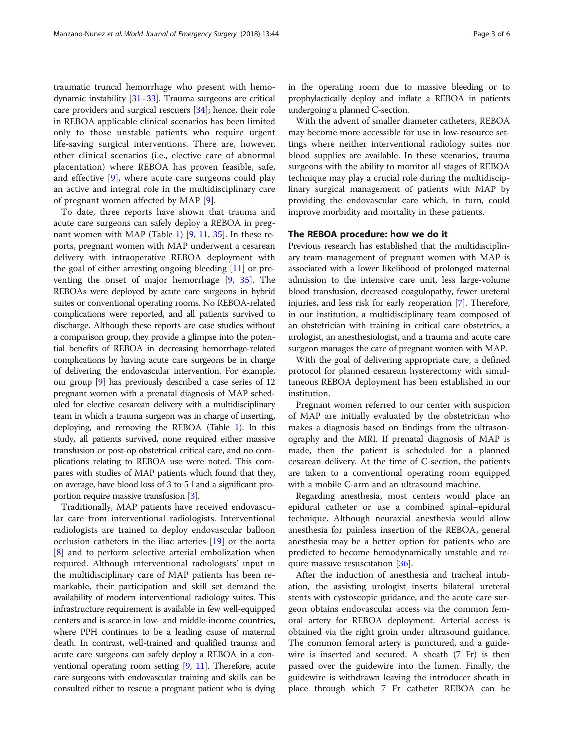traumatic truncal hemorrhage who present with hemodynamic instability [\[31](#page-5-0)–[33](#page-5-0)]. Trauma surgeons are critical care providers and surgical rescuers [\[34\]](#page-5-0); hence, their role in REBOA applicable clinical scenarios has been limited only to those unstable patients who require urgent life-saving surgical interventions. There are, however, other clinical scenarios (i.e., elective care of abnormal placentation) where REBOA has proven feasible, safe, and effective [[9\]](#page-5-0), where acute care surgeons could play an active and integral role in the multidisciplinary care of pregnant women affected by MAP [[9\]](#page-5-0).

To date, three reports have shown that trauma and acute care surgeons can safely deploy a REBOA in pregnant women with MAP (Table [1](#page-3-0)) [[9,](#page-5-0) [11,](#page-5-0) [35\]](#page-5-0). In these reports, pregnant women with MAP underwent a cesarean delivery with intraoperative REBOA deployment with the goal of either arresting ongoing bleeding [[11\]](#page-5-0) or preventing the onset of major hemorrhage [[9](#page-5-0), [35](#page-5-0)]. The REBOAs were deployed by acute care surgeons in hybrid suites or conventional operating rooms. No REBOA-related complications were reported, and all patients survived to discharge. Although these reports are case studies without a comparison group, they provide a glimpse into the potential benefits of REBOA in decreasing hemorrhage-related complications by having acute care surgeons be in charge of delivering the endovascular intervention. For example, our group [[9\]](#page-5-0) has previously described a case series of 12 pregnant women with a prenatal diagnosis of MAP scheduled for elective cesarean delivery with a multidisciplinary team in which a trauma surgeon was in charge of inserting, deploying, and removing the REBOA (Table [1](#page-3-0)). In this study, all patients survived, none required either massive transfusion or post-op obstetrical critical care, and no complications relating to REBOA use were noted. This compares with studies of MAP patients which found that they, on average, have blood loss of 3 to 5 l and a significant proportion require massive transfusion [\[3\]](#page-4-0).

Traditionally, MAP patients have received endovascular care from interventional radiologists. Interventional radiologists are trained to deploy endovascular balloon occlusion catheters in the iliac arteries [\[19](#page-5-0)] or the aorta [[8\]](#page-5-0) and to perform selective arterial embolization when required. Although interventional radiologists' input in the multidisciplinary care of MAP patients has been remarkable, their participation and skill set demand the availability of modern interventional radiology suites. This infrastructure requirement is available in few well-equipped centers and is scarce in low- and middle-income countries, where PPH continues to be a leading cause of maternal death. In contrast, well-trained and qualified trauma and acute care surgeons can safely deploy a REBOA in a conventional operating room setting [[9,](#page-5-0) [11](#page-5-0)]. Therefore, acute care surgeons with endovascular training and skills can be consulted either to rescue a pregnant patient who is dying in the operating room due to massive bleeding or to prophylactically deploy and inflate a REBOA in patients undergoing a planned C-section.

With the advent of smaller diameter catheters, REBOA may become more accessible for use in low-resource settings where neither interventional radiology suites nor blood supplies are available. In these scenarios, trauma surgeons with the ability to monitor all stages of REBOA technique may play a crucial role during the multidisciplinary surgical management of patients with MAP by providing the endovascular care which, in turn, could improve morbidity and mortality in these patients.

## The REBOA procedure: how we do it

Previous research has established that the multidisciplinary team management of pregnant women with MAP is associated with a lower likelihood of prolonged maternal admission to the intensive care unit, less large-volume blood transfusion, decreased coagulopathy, fewer ureteral injuries, and less risk for early reoperation [[7](#page-5-0)]. Therefore, in our institution, a multidisciplinary team composed of an obstetrician with training in critical care obstetrics, a urologist, an anesthesiologist, and a trauma and acute care surgeon manages the care of pregnant women with MAP.

With the goal of delivering appropriate care, a defined protocol for planned cesarean hysterectomy with simultaneous REBOA deployment has been established in our institution.

Pregnant women referred to our center with suspicion of MAP are initially evaluated by the obstetrician who makes a diagnosis based on findings from the ultrasonography and the MRI. If prenatal diagnosis of MAP is made, then the patient is scheduled for a planned cesarean delivery. At the time of C-section, the patients are taken to a conventional operating room equipped with a mobile C-arm and an ultrasound machine.

Regarding anesthesia, most centers would place an epidural catheter or use a combined spinal–epidural technique. Although neuraxial anesthesia would allow anesthesia for painless insertion of the REBOA, general anesthesia may be a better option for patients who are predicted to become hemodynamically unstable and require massive resuscitation [\[36](#page-5-0)].

After the induction of anesthesia and tracheal intubation, the assisting urologist inserts bilateral ureteral stents with cystoscopic guidance, and the acute care surgeon obtains endovascular access via the common femoral artery for REBOA deployment. Arterial access is obtained via the right groin under ultrasound guidance. The common femoral artery is punctured, and a guidewire is inserted and secured. A sheath (7 Fr) is then passed over the guidewire into the lumen. Finally, the guidewire is withdrawn leaving the introducer sheath in place through which 7 Fr catheter REBOA can be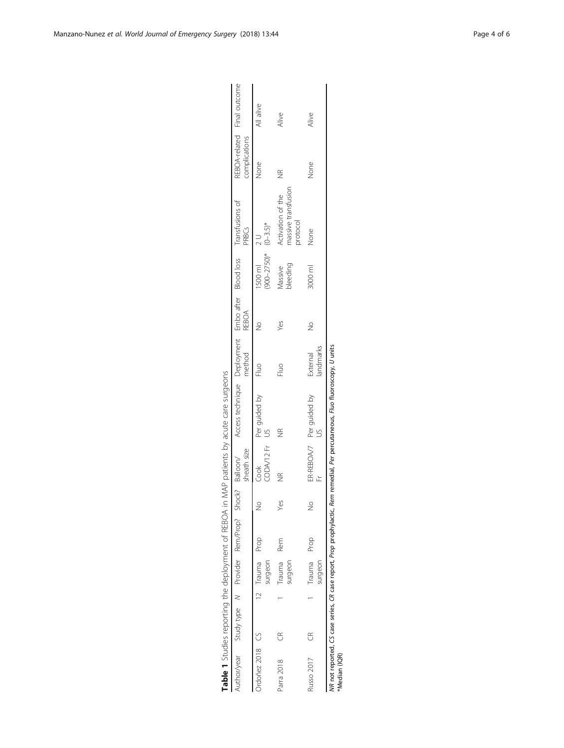| Table 1 Studies reporting the deployment of REBOA |   |                           |            |               |                       | in MAP patients by acute care surgeons                                                                                                                                               |                       |               |                     |                                                      |                                              |           |
|---------------------------------------------------|---|---------------------------|------------|---------------|-----------------------|--------------------------------------------------------------------------------------------------------------------------------------------------------------------------------------|-----------------------|---------------|---------------------|------------------------------------------------------|----------------------------------------------|-----------|
|                                                   |   |                           |            |               |                       | Author/year Study-type M Provider Rem/Prop? Shock? Balloon/ Access-technique Deployment Embo-after Blood-loss Transfusions-of<br>Author/year Study-type Mem/Prop? Shock? sheath-size |                       |               |                     |                                                      | REBOA-related Final outcome<br>complications |           |
| Drdoñez $2018$ CS                                 |   | 12 Trauma Prop<br>aurgeon |            | $\geq$        | CODA/12 Fr US<br>Cook | Per guided by                                                                                                                                                                        | Fluo                  | $\frac{1}{2}$ | (0.2750)<br>1500 ml | $(0 - 3.5)^*$<br>$\frac{1}{2}$                       | None                                         | All alive |
| Parra 2018                                        | E | urgeon<br>Trauma          | <b>Rem</b> | Yes           | E                     | $\frac{\alpha}{2}$                                                                                                                                                                   | Fluo                  | Ýes           | peeding<br>Massive  | massive transfusion<br>Activation of the<br>protocol | ž                                            | Alive     |
| Russo 2017                                        | E | Trauma Prop<br>surgeon    |            | $\frac{1}{2}$ |                       | ER-REBOA/7 Per guided by<br>Fr                                                                                                                                                       | landmarks<br>External | $\frac{1}{2}$ | 3000 ml             | None                                                 | None                                         | Alive     |
| *Median (IQR)                                     |   |                           |            |               |                       | WR not reported, CS case series, CR case report, Prop prophylactic, Rem remedial, Per percutaneous, Fluo fluoroscopy, U units                                                        |                       |               |                     |                                                      |                                              |           |

<span id="page-3-0"></span>Manzano-Nunez et al. World Journal of Emergency Surgery (2018) 13:44 Page 4 of 6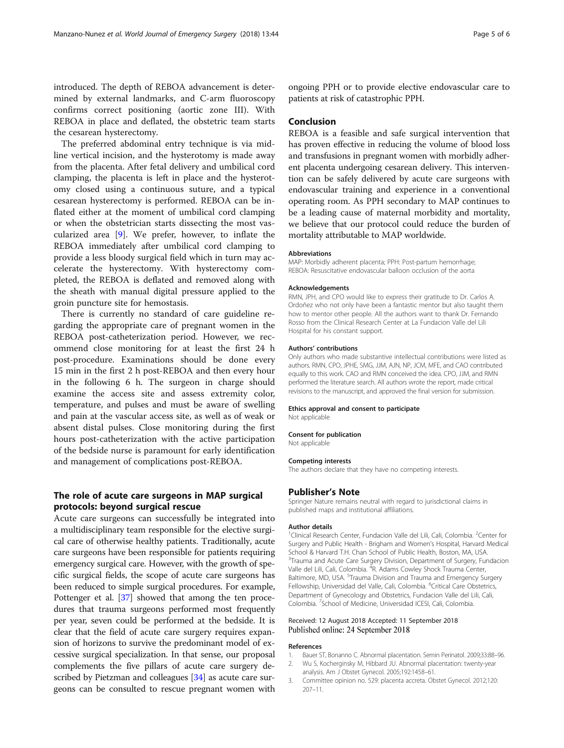<span id="page-4-0"></span>introduced. The depth of REBOA advancement is determined by external landmarks, and C-arm fluoroscopy confirms correct positioning (aortic zone III). With REBOA in place and deflated, the obstetric team starts the cesarean hysterectomy.

The preferred abdominal entry technique is via midline vertical incision, and the hysterotomy is made away from the placenta. After fetal delivery and umbilical cord clamping, the placenta is left in place and the hysterotomy closed using a continuous suture, and a typical cesarean hysterectomy is performed. REBOA can be inflated either at the moment of umbilical cord clamping or when the obstetrician starts dissecting the most vascularized area [[9\]](#page-5-0). We prefer, however, to inflate the REBOA immediately after umbilical cord clamping to provide a less bloody surgical field which in turn may accelerate the hysterectomy. With hysterectomy completed, the REBOA is deflated and removed along with the sheath with manual digital pressure applied to the groin puncture site for hemostasis.

There is currently no standard of care guideline regarding the appropriate care of pregnant women in the REBOA post-catheterization period. However, we recommend close monitoring for at least the first 24 h post-procedure. Examinations should be done every 15 min in the first 2 h post-REBOA and then every hour in the following 6 h. The surgeon in charge should examine the access site and assess extremity color, temperature, and pulses and must be aware of swelling and pain at the vascular access site, as well as of weak or absent distal pulses. Close monitoring during the first hours post-catheterization with the active participation of the bedside nurse is paramount for early identification and management of complications post-REBOA.

# The role of acute care surgeons in MAP surgical protocols: beyond surgical rescue

Acute care surgeons can successfully be integrated into a multidisciplinary team responsible for the elective surgical care of otherwise healthy patients. Traditionally, acute care surgeons have been responsible for patients requiring emergency surgical care. However, with the growth of specific surgical fields, the scope of acute care surgeons has been reduced to simple surgical procedures. For example, Pottenger et al. [[37](#page-5-0)] showed that among the ten procedures that trauma surgeons performed most frequently per year, seven could be performed at the bedside. It is clear that the field of acute care surgery requires expansion of horizons to survive the predominant model of excessive surgical specialization. In that sense, our proposal complements the five pillars of acute care surgery described by Pietzman and colleagues [[34](#page-5-0)] as acute care surgeons can be consulted to rescue pregnant women with

ongoing PPH or to provide elective endovascular care to patients at risk of catastrophic PPH.

## Conclusion

REBOA is a feasible and safe surgical intervention that has proven effective in reducing the volume of blood loss and transfusions in pregnant women with morbidly adherent placenta undergoing cesarean delivery. This intervention can be safely delivered by acute care surgeons with endovascular training and experience in a conventional operating room. As PPH secondary to MAP continues to be a leading cause of maternal morbidity and mortality, we believe that our protocol could reduce the burden of mortality attributable to MAP worldwide.

### Abbreviations

MAP: Morbidly adherent placenta; PPH: Post-partum hemorrhage; REBOA: Resuscitative endovascular balloon occlusion of the aorta

### Acknowledgements

RMN, JPH, and CPO would like to express their gratitude to Dr. Carlos A. Ordoñez who not only have been a fantastic mentor but also taught them how to mentor other people. All the authors want to thank Dr. Fernando Rosso from the Clinical Research Center at La Fundacion Valle del Lili Hospital for his constant support.

#### Authors' contributions

Only authors who made substantive intellectual contributions were listed as authors. RMN, CPO, JPHE, SMG, JJM, AJN, NP, JCM, MFE, and CAO contributed equally to this work. CAO and RMN conceived the idea. CPO, JJM, and RMN performed the literature search. All authors wrote the report, made critical revisions to the manuscript, and approved the final version for submission.

#### Ethics approval and consent to participate

Not applicable

Consent for publication

Not applicable

#### Competing interests

The authors declare that they have no competing interests.

#### Publisher's Note

Springer Nature remains neutral with regard to jurisdictional claims in published maps and institutional affiliations.

#### Author details

<sup>1</sup>Clinical Research Center, Fundacion Valle del Lili, Cali, Colombia. <sup>2</sup>Center for Surgery and Public Health - Brigham and Women's Hospital, Harvard Medical School & Harvard T.H. Chan School of Public Health, Boston, MA, USA. <sup>3</sup>Trauma and Acute Care Surgery Division, Department of Surgery, Fundacion Valle del Lili, Cali, Colombia. <sup>4</sup>R. Adams Cowley Shock Trauma Center Baltimore, MD, USA. <sup>5</sup>Trauma Division and Trauma and Emergency Surgery Fellowship, Universidad del Valle, Cali, Colombia. <sup>6</sup>Critical Care Obstetrics Department of Gynecology and Obstetrics, Fundacion Valle del Lili, Cali, Colombia. <sup>7</sup>School of Medicine, Universidad ICESI, Cali, Colombia.

## Received: 12 August 2018 Accepted: 11 September 2018 Published online: 24 September 2018

#### References

- 1. Bauer ST, Bonanno C. Abnormal placentation. Semin Perinatol. 2009;33:88–96.
- 2. Wu S, Kocherginsky M, Hibbard JU. Abnormal placentation: twenty-year analysis. Am J Obstet Gynecol. 2005;192:1458–61.
- 3. Committee opinion no. 529: placenta accreta. Obstet Gynecol. 2012;120: 207–11.